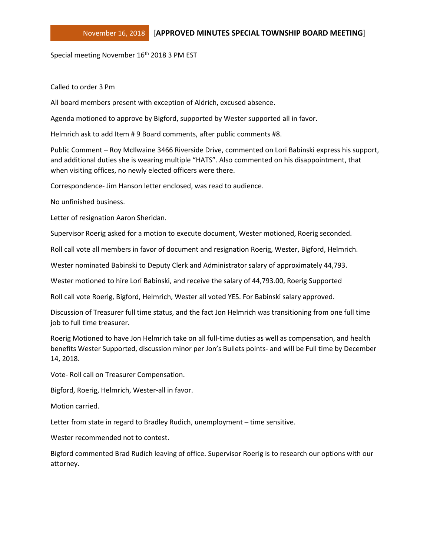Special meeting November 16<sup>th</sup> 2018 3 PM EST

Called to order 3 Pm

All board members present with exception of Aldrich, excused absence.

Agenda motioned to approve by Bigford, supported by Wester supported all in favor.

Helmrich ask to add Item # 9 Board comments, after public comments #8.

Public Comment – Roy McIlwaine 3466 Riverside Drive, commented on Lori Babinski express his support, and additional duties she is wearing multiple "HATS". Also commented on his disappointment, that when visiting offices, no newly elected officers were there.

Correspondence- Jim Hanson letter enclosed, was read to audience.

No unfinished business.

Letter of resignation Aaron Sheridan.

Supervisor Roerig asked for a motion to execute document, Wester motioned, Roerig seconded.

Roll call vote all members in favor of document and resignation Roerig, Wester, Bigford, Helmrich.

Wester nominated Babinski to Deputy Clerk and Administrator salary of approximately 44,793.

Wester motioned to hire Lori Babinski, and receive the salary of 44,793.00, Roerig Supported

Roll call vote Roerig, Bigford, Helmrich, Wester all voted YES. For Babinski salary approved.

Discussion of Treasurer full time status, and the fact Jon Helmrich was transitioning from one full time job to full time treasurer.

Roerig Motioned to have Jon Helmrich take on all full-time duties as well as compensation, and health benefits Wester Supported, discussion minor per Jon's Bullets points- and will be Full time by December 14, 2018.

Vote- Roll call on Treasurer Compensation.

Bigford, Roerig, Helmrich, Wester-all in favor.

Motion carried.

Letter from state in regard to Bradley Rudich, unemployment – time sensitive.

Wester recommended not to contest.

Bigford commented Brad Rudich leaving of office. Supervisor Roerig is to research our options with our attorney.